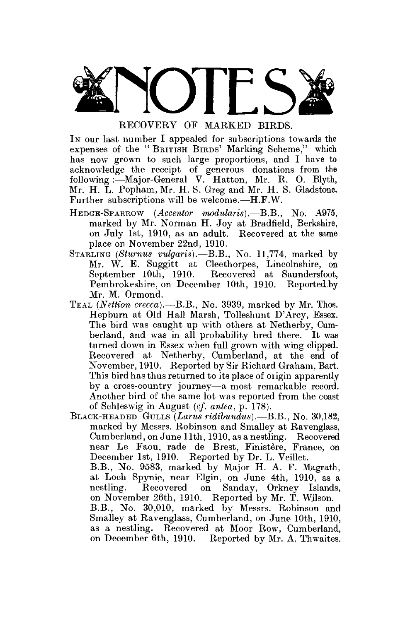

In our last number I appealed for subscriptions towards the expenses of the "BRITISH BIRDS' Marking Scheme," which has now grown to such large proportions, and I have to acknowledge the receipt of generous donations from the following:—Major-General V. Hatton, Mr. R. O. Blyth, Mr. H. L. Popham, Mr. H. S. Greg and Mr. H. S. Gladstone. Further subscriptions will be welcome.—H.F.W.

- HEDGE-SPARROW *(Accentor modularis).*—B.B., No. A975, marked by Mr. Norman H. Joy at Bradfield, Berkshire, on July 1st, 1910, as an adult. Recovered at the same place on November 22nd, 1910.
- STARLING *(Sturnus vulgaris).*—B.B., No. 11,774, marked by Mr. W. E. Suggitt at Cleethorpes, Lincolnshire, on Recovered at Saundersfoot, Pembrokeshire, on December 10th, 1910. Reported.by Mr. M. Ormond.
- TEAL *(Nettion crecca).*—B.B., No. 3939, marked by Mr. Thos. Hepburn at Old Hall Marsh, Tolleshunt D'Arcy, Essex. The bird was caught up with others at Netherby, Cumberland, and was in all probability bred there. It was turned down in Essex when full grown with wing clipped. Recovered at Netherby, Cumberland, at the end of November, 1910. Reported by Sir Richard Graham, Bart. This bird has thus returned to its place of origin apparently by a cross-country journey—a most remarkable record. Another bird of the same lot was reported from the coast of Schleswig in August (c/. *antea,* p. 178).
- BLACK-HEADED GULLS *(Larus ridibundus).*—B.B., No. 30,182, marked by Messrs. Robinson and Smalley at Ravenglass, Cumberland, on June 11th, 1910, as a nestling. Recovered near Le Faou, rade de Brest, Finistère, France, on December 1st, 1910. Reported by Dr. L. Veillet. B.B., No. 9583, marked by Major H. A. F. Magrath, at Loch Spynie, near Elgin, on June 4th, 1910, as a nestling. Recovered on Sanday, Orkney Islands, on November 26th, 1910. Reported by Mr. T. Wilson. B.B., No. 30,010, marked by Messrs. Robinson and Smalley at Ravenglass, Cumberland, on June 10th, 1910, as a nestling. Recovered at Moor Row, Cumberland, on December 6th, 1910. Reported by Mr. A. Thwaites.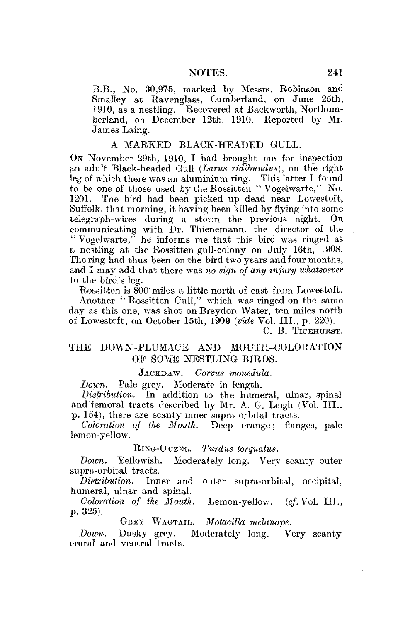B.B., No. 30,975, marked by Messrs. Robinson and Smalley at Ravenglass, Cumberland, on June 25th, 1910, as a nestling. Recovered at Backworth, Northumberland, on December 12th, 1910. Reported by Mr. James Laing.

## A MARKED BLACK-HEADED GULL.

ON November 29th, 1910, I had brought me for inspection an adult Black-headed Gull *(Lams ridibundus),* on the right leg of which there was an aluminium ring. This latter I found to be one of those used by the Rossitten " Vogelwarte," No. 1201. The bird had been picked up dead near Lowestoft, Suffolk, that morning, it having been killed by flying into some •telegraph-wires during a storm the previous night. On communicating with Dr. Thienemann, the director of the " Vogelwarte," he informs me that this bird was ringed as a nestling at the Rossitten gull-colony on July 16th, 1908. The ring had thus been on the bird two years and four months, and I may add that there was no sign of any injury whatsoever to the bird's leg.

Rossitten is 800' miles a little north of east from Lowestoft. Another " Rossitten Gull," which was ringed on the same day as this one, was shot on Breydon Water, ten miles north of Lowestoft, on October 15th, 1909 *(vide* Vol. III., p. 220).

C. B. TICEHURST.

# THE DOWN-PLUMAGE AND MOUTH-COLORATION OP SOME NESTLING BIRDS.

JACKDAW. *Gorvus monedula.* 

*Down.* Pale grey. Moderate in length.

*Distribution.* In addition to the humeral, ulnar, spinal and femoral tracts described by Mr. A. G. Leigh (Vol. III., p. 154), there are scanty inner supra-orbital tracts.

*Coloration of the Mouth.* Deep orange; flanges, pale lemon-yellow.

#### RING-OUZEL. *Turdus torqualus.*

*Down.* Yellowish. Moderately long. Very scanty outer supra-orbital tracts.<br>*Distribution*. Inn

Inner and outer supra-orbital, occipital, humeral, ulnar and spinal.

*Coloration of the Mouth.* Lemon-yellow, *(cf.* Vol. III., p. 325).

GREY WAGTAIL. Motacilla melanope.

*Moderately long.* Very scanty Down. Dusky grey.<br>crural and ventral tracts.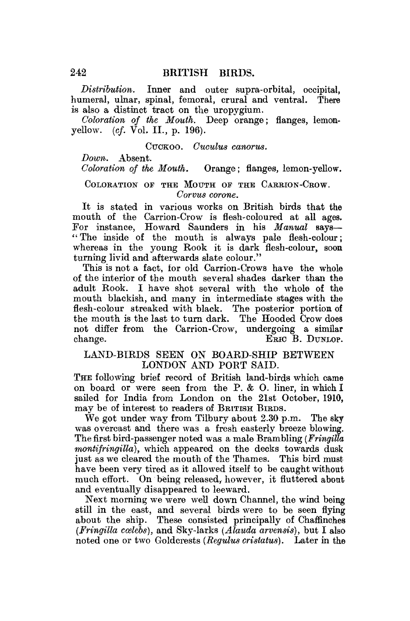*Distribution.* Inner and outer supra-orbital, occipital, humeral, ulnar, spinal, femoral, crural and ventral. There is also a distinct tract on the uropygium.

*Coloration of the Mouth.* Deep orange; flanges, lemonyellow, *(cf.* Vol. II., p. 196).

#### CUCKOO. *Cuculus canorus.*

*Down.* Absent.

*Coloration of the Mouth.* Orange; flanges, lemon-yellow.

#### COLORATION OF THE MOUTH OF THE CARRION-CROW. *Corvus corone.*

It is stated in various works on British birds that the mouth of the Carrion-Crow is flesh-coloured at all ages. For instance, Howard Saunders in his *Manual* says— " The inside of the mouth is always pale flesh-colour; whereas in the young Rook it is dark flesh-colour, soon turning livid and afterwards slate colour."

This is not a fact, for old Carrion-Crows have the whole of the interior of the mouth several shades darker than the adult Rook. I have shot several with the whole of the mouth blackish, and many in intermediate stages with the flesh-colour streaked with black. The posterior portion of the mouth is the last to turn dark. The Hooded Crow does not differ from the Carrion-Crow, undergoing a similar change. ERIC B. DUNLOP.

# LAND-BIRDS SEEN ON BOARD-SHIP BETWEEN LONDON AND PORT SAID.

THE following brief record of British land-birds which came on board or were seen from the P. & 0. liner, in which I sailed for India from London on the 21st October, 1910, may be of interest to readers of BEITISH BIRDS.

We got under way from Tilbury about 2.30 p.m. The sky was overcast and there was a fresh easterly breeze blowing. The first bird-passenger noted was a male Brambling *(Fringilla montifringilla),* which appeared on the decks towards dusk just as we cleared the mouth of the Thames. This bird must have been very tired as it allowed itself to be caught without much effort. On being released, however, it fluttered about and eventually disappeared to leeward.

Next morning we were well down Channel, the wind being still in the east, and several birds were to be seen flying about the ship. These consisted principally of Chaffinches *(Fringilla coelebs)*, and Sky-larks *(Alauda arvensis)*, but I also noted one or two Goldcrests *(Regulus cristatus)*. Later in the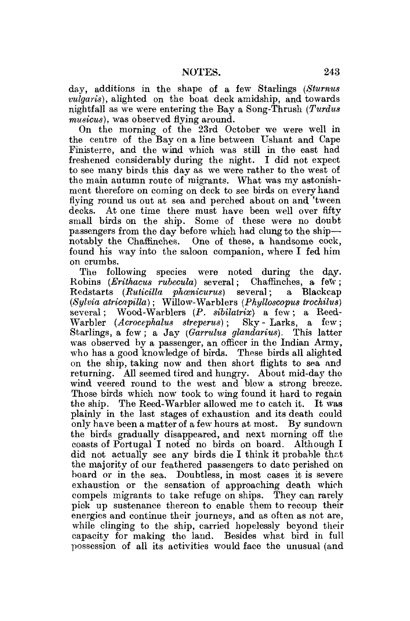day, additions in the shape of a few Starlings *(Sturnus vulgaris),* alighted on the boat deck amidship, and towards nightfall as we were entering the Bay a Song-Thrush *(Turdus musicus),* was observed flying around.

On the morning of the 23rd October we were well in the centre of the Bay on a line between Ushant and Cape Finisterre, and the wind which was still in the east had freshened considerably during the night. I did not expect to see many birds this day as we were rather to the west of the main autumn route of migrants. What was my astonishment therefore on coming on deck to see birds on every hand flying round us out at sea and perched about on and 'tween decks. At one time there must have been well over fifty small birds on the ship. Some of these were no doubt passengers from the day before which had clung to the ship notably the Chaffinches. One of these, a handsome cock, found his way into the saloon companion, where I fed him on crumbs.

The following species were noted during the day. Robins *{Erithacus rubecula)* several; Chaffinches, a few; Redstarts *(Ruticilla phanicurus)* several:  $(Sylvia\ atricapilla)$ ; Willow-Warblers (Phylloscopus trochilus) several; Wood-Warblers (P. *sibilairix)* a few; a Reed-Warbler *(Acrocephalus streperus)*; Sky - Larks, a few; Starlings, a few; a Jay *(Garrulus glandarius).* This latter was observed by a passenger, an officer in the Indian Army, who has a good knowledge of birds. These birds all alighted on the ship, taking now and then short flights to sea and returning. All seemed tired and hungry. About mid-day the wind veered round to the west and blew a strong breeze. Those birds which now took to wing found it hard to regain the ship. The Reed-Warbler allowed me to catch it. It was plainly in the last stages of exhaustion and its death could only have been a matter of a few hours at most. By sundown the birds gradually disappeared, and next morning off the coasts of Portugal I noted no birds on board. Although I did not actually see any birds die I think it probable that the majority of our feathered passengers to date perished on board or in the sea. Doubtless, in most cases it is severe exhaustion or the sensation of approaching death which compels migrants to take refuge on ships. They can rarely pick up sustenance thereon to enable them to recoup their energies and continue their journeys, and as often as not are, while clinging to the ship, carried hopelessly beyond their capacity for making the land. Besides what bird in full possession of all its activities would face the unusual (and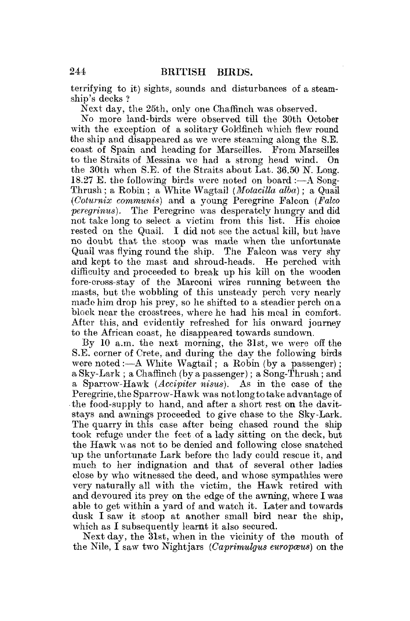terrifying to it) sights, sounds and disturbances of a steamship's decks ?

Next day, the 25th, only one Chaffinch was observed.

No more land-birds were observed till the 30th October with the exception of a solitary Goldfinch which flew round the ship and disappeared as we were steaming along the S.E. coast of Spain and heading for Marseilles. From Marseilles to the Straits of Messina we had a strong head wind. the 30th when S.E. of the Straits about Lat. 36.50 N. Long. 18.27 E. the following birds were noted on board :—A Song-Thrush ; a Robin; a White Wagtail *(Motacilla alba)*; a Quail *(C'olumix communis)* and a young Peregrine Falcon *(Falco peregrinus).* The Peregrine was desperately hungry and did not take long to select a victim from this list. His choice rested on the Quail. I did not see the actual kill, but have no doubt that the stoop was made when the unfortunate Quail was flying round the ship. The Falcon was very shy and kept to the mast and shroud-heads. He perched with difficulty and proceeded to break up his kill on the wooden fore-cross-stay of the Marconi wires running between the masts, but the wobbling of this unsteady perch very nearly made him drop his prey, so he shifted to a steadier perch on a block near the crosstrees, where he had his meal in comfort. After this, and evidently refreshed for his onward journey to the African coast, he disappeared towards sundown.

By 10 a.m. the next morning, the 31st, we were off the S.E. corner of Crete, and during the day the following birds were noted :—A White Wagtail; a Robin (by a passenger); a Sky-Lark : a Chaffinch (by a passenger); a Song-Thrush; and a Sparrow-Hawk *(Accipiter nisus).* As in the ease of the Peregrine, the Sparrow-Hawk was not long to take advantage of the food-supply to hand, and after a short rest on the davitstays and awnings proceeded to give chase to the Sky-Lark. The quarry in this case after being chased round the ship took refuge under the feet of a lady sitting on the deck, but the Hawk was not to be denied and following close snatched up the unfortunate Lark before the lady could rescue it, and much to her indignation and that of several other ladies close by who witnessed the deed, and whose sympathies were very naturally all with the victim, the Hawk retired with and devoured its prey on the edge of the awning, where I was able to get within a yard of and watch it. Later and towards dusk I saw it stoop at another small bird near the ship, which as I subsequently learnt it also secured.

Next day, the 31st, when in the vicinity of the mouth of the Nile, I saw two Nightjars (*Caprimulgus europœus*) on the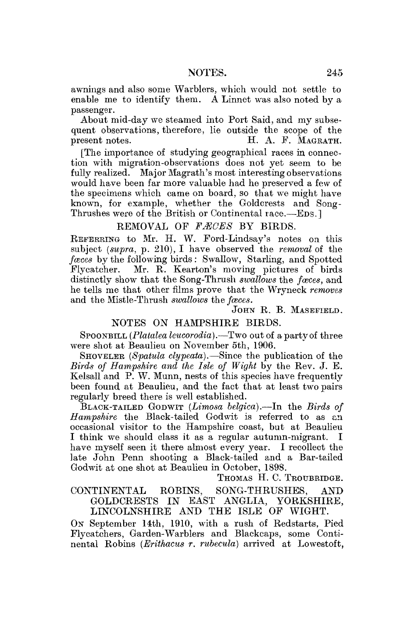awnings and also some Warblers, which would not settle to enable me to identify them. A Linnet was also noted by a passenger.

About mid-day we steamed into Port Said, and my subsequent observations, therefore, lie outside the scope of the present notes. H. A. F. MAGRATH.

[The importance of studying geographical races in connection with migration-observations does not yet seem to be fully realized. Major Magrath's most interesting observations would have been far more valuable had he preserved a few of the specimens which came on board, so that we might have known, for example, whether the Golderests and Song-Thrushes were of the British or Continental race.—EDS.]

# REMOVAL OF FÆCES BY BIRDS.

REFEBRING to Mr. H. W. Ford-Lindsay's notes on this subject *(supra,* p. 210), I have observed the *removal* of the *faces* by the following birds : Swallow, Starling, and Spotted Flycatcher. Mr. R. Kearton's moving pictures of birds distinctly show that the Song-Thrush *swallows* the *faces,* and he tells me that other films prove that the Wryneck *removes*  and the Mistle-Thrush *swallows* the *faces.* 

## JOHN R. B. MASEFIELD.

#### NOTES ON HAMPSHIRE BIRDS.

SPOONBILL (*Platalea leucorodia*).—Two out of a party of three were shot at Beaulieu on November 5th, 1906.

SHOVELER (Spatula clypeata).—Since the publication of the *Birds of Hampshire and the Isle of Wight* by the Rev. J. E. Kelsall and P. W. Munn, nests of this species have frequently been found at Beaulieu, and the fact that at least two pairs regularly breed there is well established.

BLACK-TAILED GODWIT *(Limosa belgica).*—In the *Birds of Hampshire* the Black-tailed Godwit is referred to as an occasional visitor to the Hampshire coast, but at Beaulieu I think we should class it as a regular autumn-migrant. I have myself seen it there almost every year. I recollect the late John Penn shooting a Black-tailed and a Bar-tailed Godwit at one shot at Beaulieu in October, 1898.

THOMAS H. C. TROUBRIDGE.

CONTINENTAL ROBINS, SONG-THRUSHES, AND GOLDCRESTS IN EAST ANGLIA, YORKSHIRE, LINCOLNSHIRE AND THE ISLE OF WIGHT.

*ON* September 14th, 1910, with a rush of Redstarts, Pied Flycatchers, Garden-Warblers and Blackcaps, some Continental Robins *(Brithacus r. rubecula)* arrived at Lowestoft,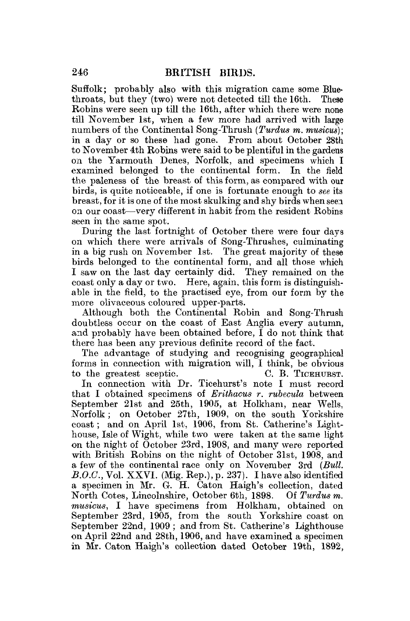Suffolk; probably also with this migration came some Blue-<br>throats, but they (two) were not detected till the 16th. These throats, but they (two) were not detected till the 16th. Robins were seen up till the 16th, after which there were none till November 1st, when a few more had arrived with large numbers of the Continental Song-Thrush *(Turdus m. musicus);*  in a day or so these had gone. From about October 28th to November 4th Robins were said to be plentiful in the gardens on the Yarmouth Denes, Norfolk, and specimens which I examined belonged to the continental form. In the field the paleness of the breast of this form, as compared with our birds, is quite noticeable, if one is fortunate enough to *see* its breast, for it is one of the most skulking and shy birds when seen on our coast—very different in habit from the resident Robins seen in the same spot.

During the last fortnight of October there were four days on which there were arrivals of Song-Thrushes, culminating in a big rush on November 1st. The great majority of these birds belonged to the continental form, and all those which I saw on the last day certainly did. They remained on the coast only a day or two. Here, again, this form is distinguishable in the field, to the practised eye, from our form by the more olivaceous coloured upper-parts.

Although both the Continental Robin and Song-Thrush doubtless occur on the coast of East Anglia every autumn, and probably have been obtained before, I do not think that there has been any previous definite record of the fact.

The advantage of studying and recognising geographical forms in connection with migration will, I think, be obvious to the greatest sceptic. C. B. TICEHUBST.

In connection with Dr. Ticehurst's note I must record that I obtained specimens of *Eriihacus r. rubecula* between September 21st and 25th, 1905, at Holkham, near Wells, Norfolk ; on October 27th, 1909, on the south Yorkshire coast; and on April 1st, 1906, from St. Catherine's Lighthouse, Isle of Wight, while two were taken at the same light on the night of October 23rd, 1908, and many were reported with British Robins on the night of October 31st, 1908, and a few of the continental race only on November 3rd *(Bull. B.O.C.,* Vol. XXVI. (Mig. Rep.), p. 237). I have also identified a specimen in Mr. *G,* H. Caton Haigh's collection, dated North Cotes, Lincolnshire, October 6th, 1898. Of *Turdus m. musicus,* I have specimens from Holkham, obtained on September 23rd, 1905, from the south Yorkshire coast on September 22nd, 1909 ; and from St. Catherine's Lighthouse on April 22nd and 28th, 1906, and have examined a specimen in Mr. Caton Haigh's collection dated October 19th, 1892,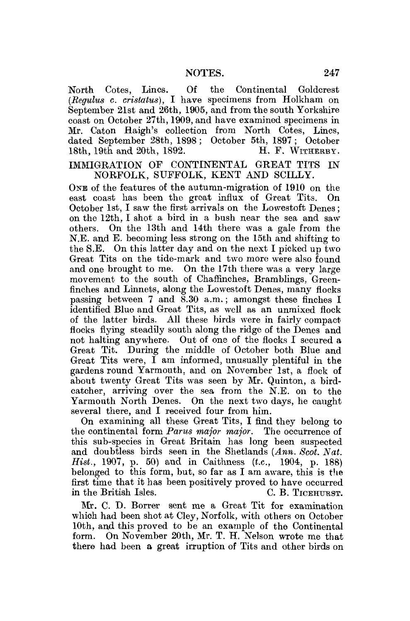North Cotes, Lines. Of the Continental Goldcrest *(Regulus* c. *cristatus),* I have specimens from Holkham on September 21st and 26th, 1905, and from the south Yorkshire coast on October 27th, 1909, and have examined specimens in Mr. Caton Haigh's collection from North Cotes, Lines, dated September 28th, 1898; October 5th, 1897; October 18th, 19th and 20th, 1892. H. F. WITHERBY. 18th, 19th and 20th,  $1892$ .

IMMIGRATION OF CONTINENTAL GREAT TITS IN NORFOLK, SUFFOLK, KENT AND SCILLY.

ONE of the features of the autumn-migration of 1910 on the east coast has been the groat influx of Great Tits. On October 1st, I saw the first arrivals on the Lowestoft Denes; on the 12th, I shot a bird in a bush near the sea and sawothers. On the 13th and 14th there was a gale from the N.E. and E. becoming less strong on the 15th and shifting to the S.E. On this latter day and on the next I picked up two Great Tits on the tide-mark and two more were also found and one brought to me. On the 17th there was a very large movement to the south of Chaffinches, Bramblings, Greenfinches and Linnets, along the Lowestoft Denes, many flocks passing between 7 and  $\overline{8.30}$  a.m.; amongst these finches I identified Blue and Great Tits, as well as an unmixed flock of the latter birds. All these birds were in fairly compact flocks flying steadily south along the ridge of the Denes and not halting anywhere. Out of one of the flocks I secured a Great Tit. During the middle of October both Blue and Great Tits were,  $\tilde{I}$  am informed, unusually plentiful in the gardens round Yarmouth, and on November 1st, a flock of about twenty Great Tits was seen by Mr. Quinton, a birdcatcher, arriving over the sea from the N.E. on to the Yarmouth North Denes. On the next two days, he caught several there, and I received four from him.

On examining all these Great Tits, I find they belong to the continental form *Partis major major.* The occurrence of this sub-species in Great Britain has long been suspected and doubtless birds seen in the Shetlands *(Ann. Scot. Nat. Hist.,* 1907, p. 50) and in Caithness *(t.c,* 1904, p. 188) belonged to this form, but, so far as I am aware, this is the first time that it has been positively proved to have occurred in the British Isles. C. B. TICEHURST.

Mr. C. D. Borrer sent me a Great Tit for examination which had been shot at Cley, Norfolk, with others on October 10th, and this proved to be an example of the Continental form. On November 20th, Mr. T. H. Nelson wrote me that there had been a great irruption of Tits and other birds on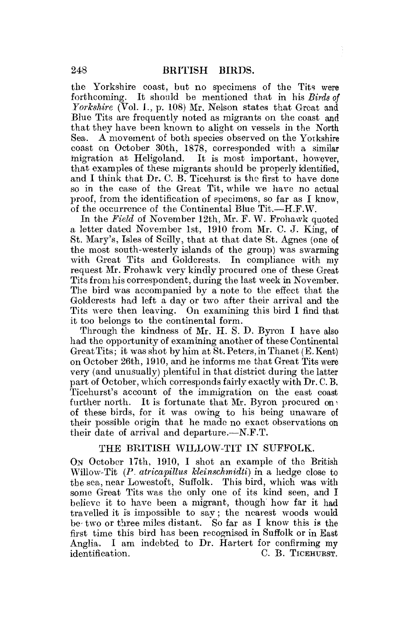the Yorkshire coast, but no specimens of the Tits were forthcoming. It should be mentioned that in his *Birds of Yorkshire* (Vol. 1., p. 108) Mr. Nelson states that Great and Blue Tits are frequently noted as migrants on the coast and that they have been known to alight on vessels in the North Sea. A movement of both species observed on the Yorkshire coast on October 30th, 1878, corresponded with a similar migration at Heligoland. It is most important, however, that examples of these migrants should be properly identified, and I think that Dr. C. B. Ticehurst is the first to have done so in the case of the Great Tit, while we have no actual proof, from the identification of specimens, so far as I know, of the occurrence of the Continental Blue Tit.—H.F.W.

In the *Field* of November 12th, Mr. F. W. Frohawk quoted a letter dated November 1st, 1910 from Mr. C. J. King, of St. Mary's, Isles of Scilly, that at that date St. Agnes (one of the most south-westerly islands of the group) was swarming with Great Tits and Goldcrests. In compliance with my request Mr. Frohawk very kindly procured one of these Great Tits from his correspondent, during the last week in November. The bird was accompanied by a note to the effect that the Goldcrests had left a day or two after their arrival and the Tits were then leaving. On examining this bird I find that it too belongs to the continental form.

Through the kindness of Mr. H. S. D. Byron I have also had the opportunity of examining another of these Continental  $Great Tits$ ; it was shot by him at  $St.$  Peters, in Thanet (E. Kent) on October 26th, 1910, and he informs me that Great Tits were very (and unusually) plentiful in that district during the latter part of October, which corresponds fairly exactly with Dr. C. B. Ticehurst's account of the immigration on the east coast further north. It is fortunate that Mr. Byron procured on  $\cdot$ of these birds, for it was owing to his being unaware of their possible origin that he made no exact observations on their date of arrival and departure.—N.F.T.

## THE BRITISH WILLOW-TIT IN SUFFOLK.

OK October 17th, 1910, I shot an example of the British Willow-Tit *(P. atricapillus kleinschmidti)* in a hedge close to the sea, near Lowestoft, Suffolk. This bird, which was with some Great Tits was the only one of its kind seen, and I believe it to have been a migrant, though' how far it had travelled it is impossible to say; the nearest woods would be- two or three miles distant. So far as I know this is the first time this bird has been recognised in Suffolk or in East Anglia. I am indebted to Dr. Hartert for confirming my identification. C. B. TICEHURST.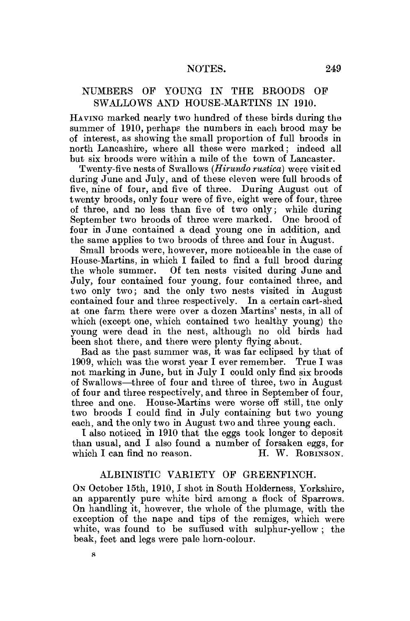# NUMBERS OP YOUNG IN THE BROODS OF SWALLOWS AND HOUSE-MARTINS IN 1910.

HAVING marked nearly two hundred of these birds during the summer of 1910, perhaps the numbers in each brood may be of interest, as showing the small proportion of full broods in north Lancashire, where all these were marked; indeed all but six broods were within a mile of the town of Lancaster.

Twenty-five nests of Swallows *(Hirundo rustica)* were visit ed during June and July, and of these eleven were full broods of five, nine of four, and five of three. During August out of twenty broods, only four were of five, eight were of four, three of three, and no less than five of two only; while during September two broods of three were marked. One brood of four in June contained a dead young one in addition, and the same applies to two broods of three and four in August.

Small broods were, however, more noticeable in the case of House-Martins, in which I failed to find a full brood during the whole summer. Of ten nests visited during June and July, four contained four young, four contained three, and two only two; and the only two nests visited in August contained four and three respectively. In a certain cart-shed at one farm there were over a dozen Martins' nests, in all of which (except one, which contained two healthy young) the young were dead in the nest, although no old birds had been shot there, and there were plenty flying about.

Bad as the past summer was, it was far eclipsed by that of 1909, which was the worst year I ever remember. True I was not marking in June, but in July I could only find six broods of Swallows—three of four and three of three, two in August of four and three respectively, and three in September of four, three and one. House-Martins were worse off still, the only two broods I could find in July containing but two young each, and the only two in August two and three young each.

I also noticed in 1910 that the eggs took louger to deposit than usual, and I also found a number of forsaken eggs, for which I can find no reason. H. W. ROBINSON.

# ALBINISTIC VARIETY OF GREENFINCH.

ON October 15th, 1910, I shot in South Holderness, Yorkshire, an apparently pure white bird among a flock of Sparrows. On handling it, however, the whole of the plumage, with the exception of the nape and tips of the remiges, which were white, was found to be suffused with sulphur-yellow ; the beak, feet and legs were pale horn-colour.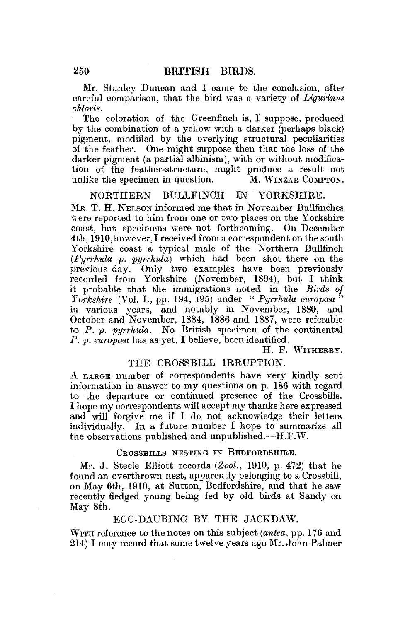Mr. Stanley Duncan and I came to the conclusion, after careful comparison, that the bird was a variety of *Ligurinus chloris.* 

The coloration of the Greenfinch is, I suppose, produced by the combination of a yellow with a darker (perhaps black) pigment, modified by the overlying structural peculiarities of the feather. One might suppose then that the loss of the darker pigment (a partial albinism), with or without modification of the feather-structure, might produce a result not unlike the specimen in question. M. WINZAR COMPTON.

# NORTHERN BULLFINCH IN YORKSHIRE.

ME. T. H. NELSON informed me that in November Bullfinches were reported to him from one or two places on the Yorkshire coast, but specimens were not forthcoming. On December 4th, 1910, however, I received from a correspondent on the south Yorkshire coast a typical male of the Northern Bullfinch *(Pyrrhula p. pyrrhula)* which had been shot there on the previous day. Only two examples have been previously recorded from Yorkshire (November, 1894), but I think it probable that the immigrations noted in the *Birds of Yorkshire* (Vol. I., pp. 194, 195) under " *Pyrrhula europcea* " in various vears, and notably in November, 1880, and October and November, 1884, 1886 and 1887, were referable to *P. p. pyrrhula.* No British specimen of the continental *P. p. europcea* has as yet, I believe, been identified.

H. F. WITHERBY.

## THE CROSSBILL IRRUPTION.

A LARGE number of correspondents have very kindly sent information in answer to my questions on p. 186 with regard to the departure or continued presence of the Crossbills. I hope my correspondents will accept my thanks here expressed and will forgive me if I do not acknowledge their letters individually. In a future number I hope to summarize all the observations published and unpublished.—H.F.W.

## CROSSBILLS NESTING IN BEDFORDSHIRE.

Mr. J. Steele Elliott records *(Zool,* 1910, p. 472) that he found an overthrown nest, apparently belonging to a Crossbill, on May 6th, 1910, at Sutton, Bedfordshire, and that he saw recently fledged young being fed by old birds at Sandy on May 8th.

# EGG-DAUBING BY THE JACKDAW.

WITH reference to the notes on this subject *(antea,* pp. 176 and 214) I may record that some twelve years ago Mr. John Palmer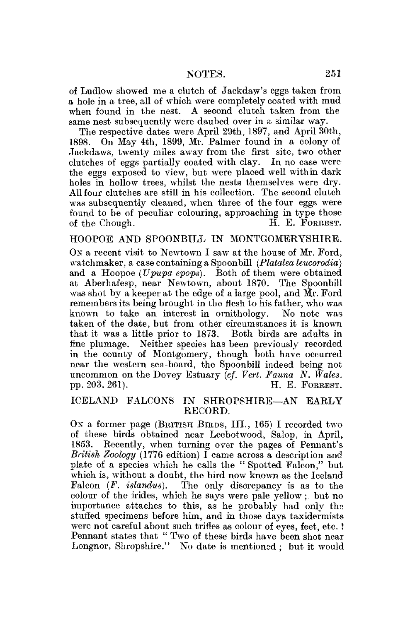of Ludlow showed me a clutch of Jackdaw's eggs taken from a hole in a tree, all of which were completely coated with mud when found in the nest. A second clutch taken from the same nest subsequently were daubed over in a similar way.

The respective dates were April 29th, 1897, and April 30th, 1898. On May 4th, 1899, Mr. Palmer found in a colony of Jackdaws, twenty miles away from the first site, two other clutches of eggs partially coated with clay. In no case were the eggs exposed to view, but were placed well within dark holes in hollow trees, whilst the nests themselves were dry. All four clutches are still in his collection. The second clutch was subsequently cleaned, when three of the four eggs were found to be of peculiar colouring, approaching in type those of the Chough. H. E. FORREST.

## HOOPOE AND SPOONBILL IN MONTGOMERYSHIRE.

ON a recent visit to Newtown I saw at the house of Mr. Ford, watchmaker, a case containing a Spoonbill *(Platalea leucorodia)*  and a Hoopoe (Upupa epops). Both of them were obtained at Aberhafesp, near Newtown, about 1870. The Spoonbill was shot by a keeper at the edge of a large pool, and  $\tilde{M}$ r. Ford remembers its being brought in the flesh to his father, who was known to take an interest in ornithology. No note was taken of the date, but from other circumstances it is known that it was a little prior to 1873. Both birds are adults in fine plumage. Neither species has been previously recorded in the county of Montgomery, though both have occurred near the western sea-board, the Spoonbill indeed being not uncommon on the Dovey Estuary *(cf. Vert. Fauna N. Wales.*  pp. 203. 261). H. E. FOREEST.

## ICELAND FALCONS IN SHROPSHIRE—AN EARLY RECORD.

ON a former page (BEITISH BIRDS, III., 165) I recorded two of these birds obtained near Leebotwood, Salop, in April, 1853. Recently, when turning over the pages of Pennant's *British Zoology* (1776 edition) I came across a description and plate of a species which he calls the " Spotted Falcon," but which is, without a doubt, the bird now known as the Iceland Falcon *(F. islandus).* The only discrepancy is as to the colour of the irides, which he says were pale yellow ; but no importance attaches to this, as he probably had only the stuffed specimens before him, and in those days taxidermists were not careful about such trifles as colour of eyes, feet, etc. ! Pennant states that " Two of these birds have been shot near Longnor, Shropshire." No date is mentioned ; but it would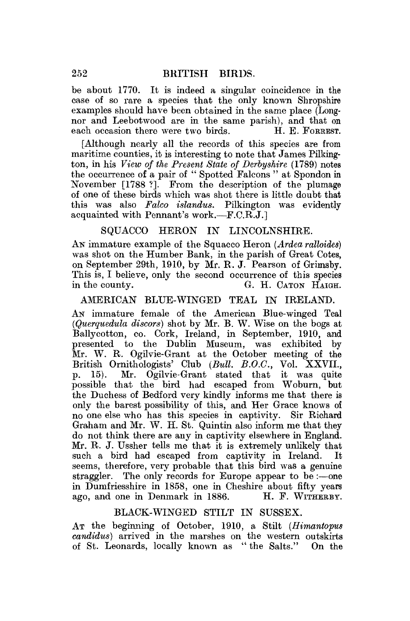be about 1770. It is indeed a singular eoineidenee in the case of so rare a species that the only known Shropshire examples should have been obtained in the same place (Longnor and Leebotwood are in the same parish), and that on each occasion there were two birds. H. E. FORREST. each occasion there were two birds.

[Although nearly all the records of this species are from maritime counties, it is interesting to note that James Pilkington, in his *View of the Present State of Derbyshire* (1789) notes the occurrence of a pair of " Spotted Falcons " at Spondon in November [1788 ?]. From the description of the plumage of one of these birds which was shot there is little doubt that this was also *Fako islandus.* Pilkington was evidently acquainted with Pennant's work.—F.C.R.J.]

## SQUACCQ HERON IK LINCOLNSHIRE.

AN immature example of the Squacco Heron *(Ardea ralloides)*  was shot on the Humber Bank, in the parish of Great Cotes, on September 29th, 1910, by Mr. R. J. Pearson of Grimsby. This is, I believe, only the second occurrence of this species in the county. G. H. CATON HAIGH.

## AMERICAN BLUE-WINGED TEAL IN IRELAND.

AN immature female of the American Blue-winged Teal *(Querquedula discors)* shot by Mr. B. W. Wise on the bogs at Ballycotton, co. Cork, Ireland, in September, 1910, and presented to the Dublin Museum, was exhibited by Mr. W. R. Ogilvie-Grant at the October meeting of the British Ornithologists' Club *(Bull B.O.C.,* Vol. XXVII., p. 15). Mr. Ogilvie-Grant stated that it was quite possible that the bird had escaped from Woburn, but the Duchess of Bedford very kindly informs me that there is only the barest possibility of this, and Her Grace knows of no one else who has this species in captivity. Sir Richard Graham and Mr. W. H. St. Quintin also inform me that they do not think there are any in captivity elsewhere in England. Mr. R. J. Ussher tells me that it is extremely unlikely that such a bird had escaped from captivity in Ireland. It seems, therefore, very probable that this bird was a genuine straggler. The only records for Europe appear to be :—one in Dumfriesshire in 1858, one in Cheshire about fifty years ago, and one in Denmark in 1886. H. F. WITHEEBY.

#### BLACK-WINGED STILT IN SUSSEX.

AT the beginning of October, 1910, a Stilt *(Himantopus candidus)* arrived in the marshes on the western outskirts of St. Leonards, locally known as " the Salts." On the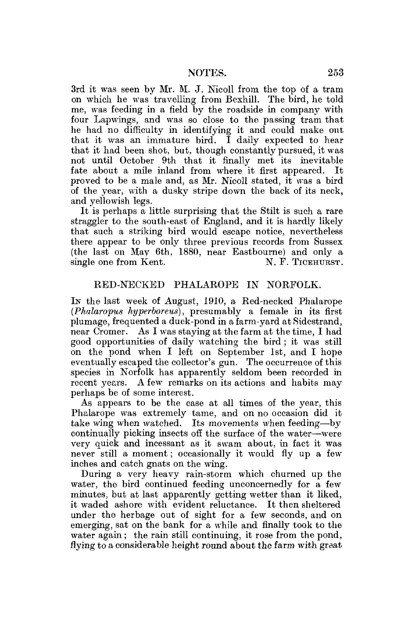3rd it was seen by Mr. M. J. Nicoll from the top of a tram on which he was travelling from Bexhill. The bird, he told me, was feeding in a field by the roadside in company with four Lapwings, and was so close to the passing tram that he had no difficulty in identifying it and could make out that it was an immature bird, I daily expected to hear that it had been shot, but, though constantly pursued, it was not until October 9th that it finally met its inevitable fate about a mile inland from where it first appeared. It proved to be a male and, as Mr. Nicoll stated, it was a bird of the year, with a dusky stripe down the back of its neck, and yellowish legs.

It is perhaps a little surprising that the Stilt is such a rare straggler to the south-east of England, and it is hardly likely that such a striking bird would escape notice, nevertheless there appear to be only three previous records from Sussex (the last on May 6th, 1880, near Eastbourne) and only a single one from Kent. N. F. TICEHURST.

#### RED-NECKED PHALAROPE IN NORFOLK.

IN the last week of August, 1910, a Red-necked Phalarope (*Phalaropus hyperboreus*), presumably a female in its first plumage, frequented a duck-pond in a farm-yard at Sidestrand, near Cromer. As I was staying at the farm at the time, I had good opportunities of daily watching the bird; it was still on the pond when I left on September 1st, and I hope eventually escaped the collector's gun. The occurrence of this species in Norfolk has apparently seldom been recorded in recent years. A few remarks on its actions and habits may perhaps be of some interest.

As appears to be the case at all times of the year, this Phalarope was extremely tame, and on no occasion did it take wing when watched. Its movements when feeding—by continually picking insects off the surface of the water—were very quick and incessant as it swam about, in fact it was never still a moment; occasionally it would fly up a few inches and catch gnats on the wing.

During a very heavy rain-storm which churned up the water, the bird continued feeding unconcernedly for a few minutes, but at last apparently getting wetter than it liked, it waded ashore with evident reluctance. It then sheltered under the herbage out of sight for a few seconds, and on emerging, sat on the bank for a while and finally took to the water again; the rain still continuing, it rose from the pond, flying to a considerable height round about the farm with great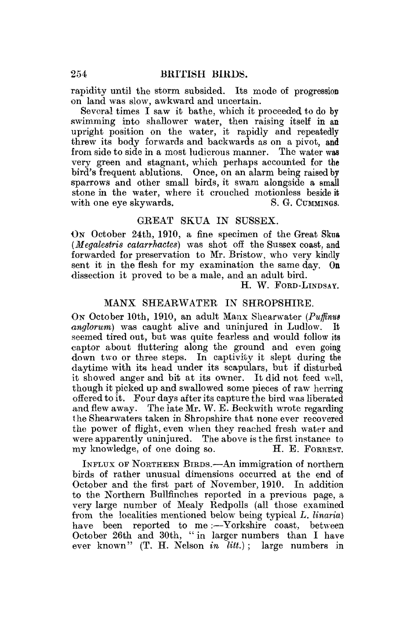rapidity until the storm subsided. Its mode of progression on land was slow, awkward and uncertain.

Several times I saw it bathe, which it proceeded to do by swimming into shallower water, then raising itself in an upright position on the water, it rapidly and repeatedly threw its body forwards and backwards as on a pivot, and from side to side in a most ludicrous manner. very green and stagnant, which perhaps accounted for the bird's frequent ablutions. Once, on an alarm being raised by sparrows and other small birds, it swam alongside a small stone in the water, where it crouched motionless beside it with one eye skywards. S. G. CUMMINGS,

# GREAT SKUA IN SUSSEX.

On October 24th, 1910, a fine specimen of the Great Skua *(Megalestris catarrhactes)* was shot off the Sussex coast, and forwarded for preservation to Mr. Bristow, who very kindly sent it in the flesh for my examination the same day. On dissection it proved to be a male, and an adult bird.

H. W. FORD-LINDSAY.

## MANX SHEARWATER IN SHROPSHIRE.

ON October 10th, 1910, an adult Manx Shearwater (Puffinus *anglorum)* was caught alive and uninjured in Ludlow. It seemed tired out, but was quite fearless and would follow its captor about fluttering along the ground and even going down two or three steps. In captivity it slept during the daytime with its head under its scapulars, but if disturbed it showed anger and bit at its owner. It did not feed well, though it picked up and swallowed some pieces of raw herring offered to it. Pour days after its capture the bird was liberated and flew away. The late Mr. W. E. Beckwith wrote regarding the Shearwaters taken in Shropshire that none ever recovered the power of flight, even when they reached fresh water and were apparently uninjured. The above is the first instance to my knowledge, of one doing so. H. E. FORREST.

INFLUX OF NORTHERN BIRDS.—An immigration of northern birds of rather unusual dimensions occurred at the end of October and the first part of November, 1910. In addition to the Northern Bullfinches reported in a previous page, a very large number of Mealy Redpolls (all those examined from the localities mentioned below being typical *L. linaria)*  have been reported to me:-Yorkshire coast, between October 26th and 30th, " in larger numbers than I have ever known" (T. H. Nelson *in litt.)* ; large numbers in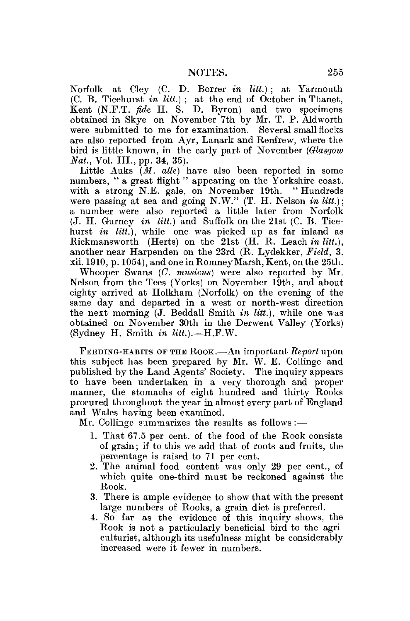Norfolk at Cley (C. D. Borrer *in litt.)* ; at Yarmouth (C. B. Ticehurst *in litt.)* ; at the end of October in Thanet, Kent (N.P.T. *fide* H. S. D. Byron) and two specimens obtained in Skye on November 7th by Mr. T. P. Aldworth were submitted to me for examination. Several small flocks are also reported from Ayr, Lanark and Renfrew, where the bird is little known, in the early part of November *(Glasgow Nat.*, Vol. III., pp. 34, 35).

Little Auks *(M. alle)* have also been reported in some numbers, "a great flight" appearing on the Yorkshire coast, with a strong N.E. gale, on November 19th. " Hundreds were passing at sea and going N.W." (T. H. Nelson *in litt.);*  a number were also reported a little later from Norfolk (J. H. Gurney *in litt.)* and Suffolk on the 21st (C. B. Ticehurst *in litt.),* while one was picked up as far inland as Rickmansworth (Herts) on the 21st (H. R. Leach *in litt.),*  another near Harpenden on the 23rd (R. Lydekker, *Field,* 3. xii. 1910, p. 1054), and one in Romney Marsh, Kent, on the 25th.

Whooper Swans *(C. musicus)* were also reported by Mr. Nelson from the Tees (Yorks) on November 19th, and about eighty arrived at Holkham (Norfolk) on the evening of the same day and departed in a west or north-west direction the next morning (J. Beddall Smith *in litt.),* while one was obtained on November 30th in the Derwent Valley (Yorks) (Sydney H. Smith *in litt.).—*H.F.W.

FEEDING-HABITS OP THE ROOK.—An important *Report* upon this subject has been prepared by Mr. W. E. Collinge and published by the Land Agents' Society. The inquiry appears to have been undertaken in a very thorough and proper manner, the stomachs of eight hundred and thirty Rooks procured throughout the year in almost every part of England and Wales having been examined.

Mr. Collinge summarizes the results as follows :—

- 1. That 67.5 per cent, of the food of the Rook consists of grain; if to this we add that of roots and fruits, the percentage is raised to 71 per cent.
- 2. The animal food content was only 29 per cent., of which quite one-third must be reckoned against the Rook.
- 3. There is ample evidence to show that with the present large numbers of Rooks, a grain diet is preferred.
- 4. So far as the evidence of this inquiry shows, the Rook is not a particularly beneficial bird to the agriculturist, although its usefulness might be considerably increased were it fewer in numbers.